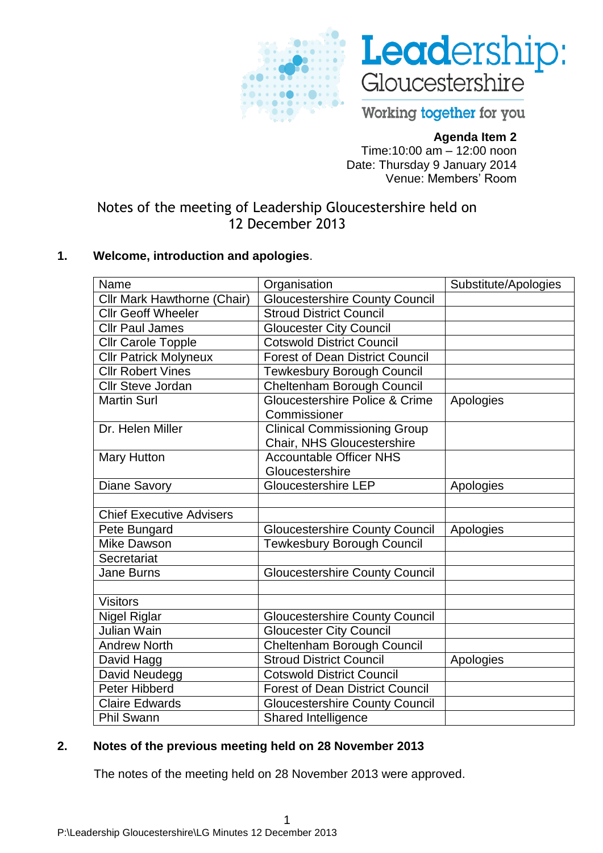



Working together for you

# **Agenda Item 2**

Time:10:00 am – 12:00 noon Date: Thursday 9 January 2014 Venue: Members' Room

Notes of the meeting of Leadership Gloucestershire held on 12 December 2013

# **1. Welcome, introduction and apologies**.

| Name                               | Organisation                           | Substitute/Apologies |
|------------------------------------|----------------------------------------|----------------------|
| <b>Cllr Mark Hawthorne (Chair)</b> | <b>Gloucestershire County Council</b>  |                      |
| <b>Cllr Geoff Wheeler</b>          | <b>Stroud District Council</b>         |                      |
| <b>Cllr Paul James</b>             | <b>Gloucester City Council</b>         |                      |
| <b>Cllr Carole Topple</b>          | <b>Cotswold District Council</b>       |                      |
| <b>Cllr Patrick Molyneux</b>       | <b>Forest of Dean District Council</b> |                      |
| <b>Cllr Robert Vines</b>           | <b>Tewkesbury Borough Council</b>      |                      |
| <b>Cllr Steve Jordan</b>           | Cheltenham Borough Council             |                      |
| <b>Martin Surl</b>                 | Gloucestershire Police & Crime         | Apologies            |
|                                    | Commissioner                           |                      |
| Dr. Helen Miller                   | <b>Clinical Commissioning Group</b>    |                      |
|                                    | Chair, NHS Gloucestershire             |                      |
| <b>Mary Hutton</b>                 | <b>Accountable Officer NHS</b>         |                      |
|                                    | Gloucestershire                        |                      |
| <b>Diane Savory</b>                | <b>Gloucestershire LEP</b>             | Apologies            |
|                                    |                                        |                      |
| <b>Chief Executive Advisers</b>    |                                        |                      |
| Pete Bungard                       | <b>Gloucestershire County Council</b>  | Apologies            |
| Mike Dawson                        | <b>Tewkesbury Borough Council</b>      |                      |
| Secretariat                        |                                        |                      |
| <b>Jane Burns</b>                  | <b>Gloucestershire County Council</b>  |                      |
|                                    |                                        |                      |
| <b>Visitors</b>                    |                                        |                      |
| <b>Nigel Riglar</b>                | <b>Gloucestershire County Council</b>  |                      |
| Julian Wain                        | <b>Gloucester City Council</b>         |                      |
| <b>Andrew North</b>                | Cheltenham Borough Council             |                      |
| David Hagg                         | <b>Stroud District Council</b>         | Apologies            |
| David Neudegg                      | <b>Cotswold District Council</b>       |                      |
| Peter Hibberd                      | <b>Forest of Dean District Council</b> |                      |
| <b>Claire Edwards</b>              | <b>Gloucestershire County Council</b>  |                      |
| Phil Swann                         | <b>Shared Intelligence</b>             |                      |

## **2. Notes of the previous meeting held on 28 November 2013**

The notes of the meeting held on 28 November 2013 were approved.